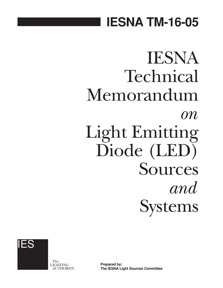## **IESNA TM-16-05**

# IESNA Technical Memorandum *on* Light Emitting Diode (LED) Sources *and* Systems



The LIGHTING AUTHORITY

**Prepared by: The IESNA Light Sources Committee**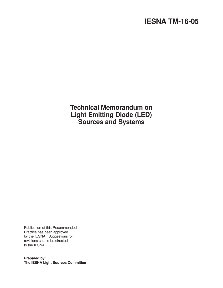## **IESNA TM-16-05**

**Technical Memorandum on Light Emitting Diode (LED) Sources and Systems**

Publication of this Recommended Practice has been approved by the IESNA. Suggestions for revisions should be directed to the IESNA.

**Prepared by: The IESNA Light Sources Committee**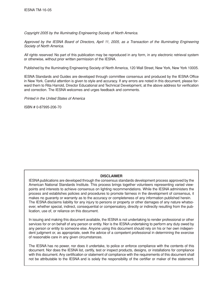*Copyright 2005 by the Illuminating Engineering Society of North America.*

*Approved by the IESNA Board of Directors, April 11, 2005, as a Transaction of the Illuminating Engineering Society of North America.*

*All rights reserved.* No part of this publication may be reproduced in any form, in any electronic retrieval system or otherwise, without prior written permission of the IESNA.

Published by the Illuminating Engineering Society of North America, 120 Wall Street, New York, New York 10005.

IESNA Standards and Guides are developed through committee consensus and produced by the IESNA Office in New York. Careful attention is given to style and accuracy. If any errors are noted in this document, please forward them to Rita Harrold, Director Educational and Technical Development, at the above address for verification and correction. The IESNA welcomes and urges feedback and comments.

*Printed in the United States of America*

ISBN # 0-87995-206-70

#### **DISCLAIMER**

IESNApublications are developed through the consensus standards development process approved by the American National Standards Institute. This process brings together volunteers representing varied viewpoints and interests to achieve consensus on lighting recommendations. While the IESNA administers the process and establishes policies and procedures to promote fairness in the development of consensus, it makes no guaranty or warranty as to the accuracy or completeness of any information published herein. The IESNA disclaims liability for any injury to persons or property or other damages of any nature whatsoever, whether special, indirect, consequential or compensatory, directly or indirectly resulting from the publication, use of, or reliance on this document.

In issuing and making this document available, the IESNA is not undertaking to render professional or other services for or on behalf of any person or entity. Nor is the IESNA undertaking to perform any duty owed by any person or entity to someone else. Anyone using this document should rely on his or her own independent judgment or, as appropriate, seek the advice of a competent professional in determining the exercise of reasonable care in any given circumstances.

The IESNA has no power, nor does it undertake, to police or enforce compliance with the contents of this document. Nor does the IESNA list, certify, test or inspect products, designs, or installations for compliance with this document. Any certification or statement of compliance with the requirements of this document shall not be attributable to the IESNA and is solely the responsibility of the certifier or maker of the statement.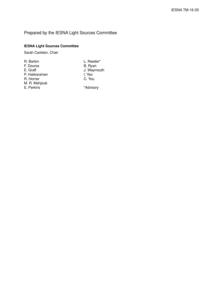### Prepared by the IESNA Light Sources Committee

#### **IESNA Light Sources Committee**

Sarah Carleton, Chair

| R. Barton      | L. Reeder*  |
|----------------|-------------|
| F. Douros      | B. Ryan     |
| E. Graff       | J. Waymouth |
| P. Hakkarainen | I. Yeo      |
| R. Horner      | C. You      |
| M. R. Mahjoub  |             |
| E. Perkins     | *Advisory   |
|                |             |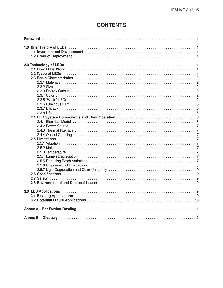## **CONTENTS**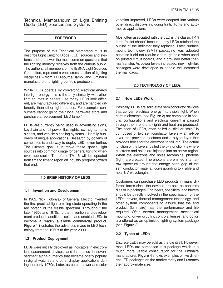Technical Memorandum on Light Emitting Diode (LED) Sources and Systems

#### **FOREWORD**

The purpose of this Technical Memorandum is to describe Light Emitting Diode (LED) sources and systems and to answer the most common questions that the lighting industry receives from the curious public. The authors, all members of the IESNA Light Sources Committee, represent a wide cross section of lighting disciplines – from LED-source, lamp, and luminaire manufacturers to lighting-controls producers.

While LEDs operate by converting electrical energy into light energy, this is the only similarity with other light sources in general use today. LEDs look different, are manufactured differently, and are handled differently than other light sources. For example, consumers cannot go to their local hardware store and purchase a replacement "LED lamp."

LEDs are currently being used in advertising signs, keychain and full-power flashlights, exit signs, traffic signals, and vehicle signaling systems – literally hundreds of unique applications. Research by dozens of companies is underway to deploy LEDs even further. The ultimate goal is to move these special light sources into common usage for general lighting wherever applicable. Therefore, TM-16 will be updated from time to time to report on industry progress toward that end.

#### **1.0 BRIEF HISTORY OF LEDS**

#### **1.1 Invention and Development**

In 1962, Nick Holonyak of General Electric invented the first practical light-emitting diode operating in the red portion of the visible spectrum. Throughout the later 1960s and 1970s, further invention and development produced additional colors and enabled LEDs to become a readily available commercial product. **Figure 1** illustrates the advances made in LED technology from the 1960s to the year 2000.

#### **1.2 Product Deployment**

LEDs were initially deployed as indicators in electronic measurement devices, and later used in sevensegment alpha-numerics that became briefly popular in digital watches and other display applications during the early 1970s. Later, as output power and color variation improved, LEDs were adapted into various other direct displays including traffic lights and automotive applications.

Most often associated with the LED is the classic T-1<sup>%</sup> lamp "bullet shape" because early LEDs retained the outline of the indicator they replaced. Later, surface mount technology (SMT) packaging was adopted because it did not require a through-hole when used on printed circuit boards, and it provided better thermal transfer. As power levels increased, new high-flux packages were developed to handle the increased thermal loads.

#### **2.0 TECHNOLOGY OF LEDs**

#### **2.1 How LEDs Work**

Basically, LEDs are solid-state semiconductor devices that convert electrical energy into visible light. When certain elements (see **Figure 2**) are combined in specific configurations and electrical current is passed through them, photons (light) and heat are produced. The heart of LEDs, often called a "die" or "chip," is composed of two semiconductor layers – an n-type layer that provides electrons and a p-type layer that provides holes for the electrons to fall into. The actual junction of the layers (called the p-n junction) is where electrons and holes are injected into an active region. When the electrons and holes recombine, photons (light) are created. The photons are emitted in a narrow spectrum around the energy band gap of the semiconductor material, corresponding to visible and near-UV wavelengths.

Customers can purchase LED products in many different forms since the devices are sold as separate dies or in packages. Engineers, specifiers, and buyers should be directly involved in the specification of the LEDs, drivers, thermal management technology, and other system components to assure that the end product (luminaire) has the performance and life required. Often thermal management, mechanical mounting, driver circuitry, controls, lenses, and optics are offered as an optimized lighting system package (see **Figure 3**).

#### **2.2 Types of LEDs**

Discrete LEDs may be sold as the die itself. However, most LEDs are purchased in a package which is a much more usable configuration for the luminaire manufacturer. **Figure 4** shows examples of five different LED packages on the market today and illustrates their approximate size.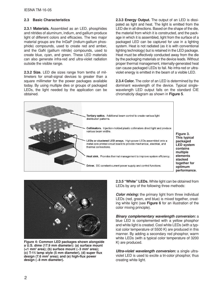#### **2.3 Basic Characteristics**

**2.3.1 Materials.** Assembled as an LED, phosphides and nitrides of aluminum, indium, and gallium produce light of different colors and efficacies. The two major material groups are the InGaP (indium-gallium phosphide) compounds, used to create red and amber, and the GaN (gallium nitride) compounds, used to create blue, cyan, and green. These LED materials can also generate infra-red and ultra-violet radiation outside the visible range.

**2.3.2 Size.** LED die sizes range from tenths of millimeters for small-signal devices to greater than a square millimeter for the power packages available today. By using multiple dies or groups of packaged LEDs, the light needed by the application can be obtained.

**2.3.3 Energy Output.** The output of an LED is dissipated as light and heat. The light is emitted from the LED die in all directions. Based on the shape of the die, the material from which it is constructed, and the package in which it is assembled, light from the surface of a packaged LED can be captured for use in a lighting system. Heat is not radiated (as it is with conventional lighting technology) but is retained in the LED package. Heat must be effectively conducted away from the die by the packaging materials or the device leads. Without proper thermal management, internally-generated heat can cause packaged LEDs to fail. No infra-red or ultraviolet energy is emitted in the beam of a visible LED.

**2.3.4 Color.** The color of an LED is determined by the dominant wavelength of the device. Typical singlewavelength LED output falls on the standard CIE chromaticity diagram as shown in **Figure 5**.





**Figure 4: Common LED packages shown alongside a U.S. dime (17.9 mm diameter): (a) surface mount (<1 mm2 area); (b) surface mount (~3 mm2 area); (c) T-13 ⁄4 lamp style (5 mm diameter), (d) super flux design (7.6 mm2 area); and (e) high-flux power design (~8 mm diameter).**

**2.3.5 "White" LEDs.** White light can be obtained from LEDs by any of the following three methods:

*Color mixing:* the primary light from three individual LEDs (red, green, and blue) is mixed together, creating white light (see **Figure 6** for an illustration of the color mixing principle).

*Binary complementary wavelength conversion:* a blue LED is complemented with a yellow phosphor and white light is created. Cool white LEDs (with a typical color temperature of 5500 K) are produced in this manner. By adding a secondary red phosphor, warm white LEDs (with a typical color temperature of 3200 K) are produced.

*Ultra-violet wavelength conversion:* a single ultraviolet LED is used to excite a tri-color phosphor, thus creating white light.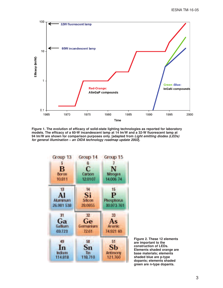

**Figure 1. The evolution of efficacy of solid-state lighting technologies as reported for laboratory models. The efficacy of a 60-W incandescent lamp at 14 lm/W and a 32-W fluorescent lamp at 94 lm/W are shown for comparison purposes only. [adapted from** *Light emitting diodes (LEDs) for general illumination – an OIDA technology roadmap update 2002***].**



**Figure 2. These 12 elements are important to the construction of LEDs. Elements shaded orange are base materials; elements shaded blue are p-type dopants; elements shaded green are n-type dopants.**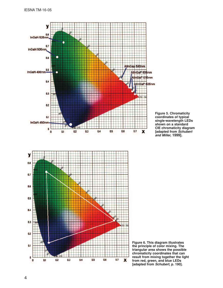

**Figure 5. Chromaticity coordinates of typical single-wavelength LEDs shown on a standard CIE chromaticity diagram [adapted from** *Schubert and Miller,* **1999].**



**Figure 6. This diagram illustrates the principle of color mixing. The triangular area shows the possible chromaticity coordinates that can result from mixing together the light from red, green, and blue LEDs [adapted from** *Schubert***, p. 190].**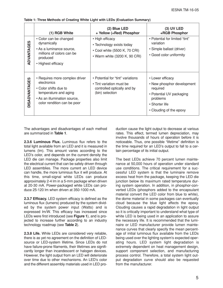|                      | (1) RGB White                                                                                                                                                  | (2) Blue LED<br>+ Yellow (+Red) Phosphor                                                                        | $(3)$ UV LED<br>+RGB Phosphor                                                                                                                   |
|----------------------|----------------------------------------------------------------------------------------------------------------------------------------------------------------|-----------------------------------------------------------------------------------------------------------------|-------------------------------------------------------------------------------------------------------------------------------------------------|
| ADVANTAGES           | • Color can be changed<br>dynamically<br>• As a luminance source,<br>millions of colors can be<br>produced<br>• Highest efficacy                               | • High efficacy<br>• Technology exists today<br>• Cool white (5500 K, 70 CRI)<br>• Warm white (3200 K, 90 CRI)  | • Potential for limited "tint"<br>variation<br>• Simple ballast (driver)<br>• Good color uniformity                                             |
| <b>DISADVANTAGES</b> | • Requires more complex driver<br>electronics<br>• Color shifts due to<br>temperature and aging<br>• As an illumination source,<br>color rendition can be poor | • Potential for "tint" variations<br>• Tint variation must be<br>controlled optically and by<br>(bin) selection | • Lower efficacy<br>• New phosphor development<br>required<br>• Potential UV packaging<br>problems<br>• Shorter life<br>• Clouding of the epoxy |

**Table 1: Three Methods of Creating White Light with LEDs (Evaluation Summary)**

The advantages and disadvantages of each method are summarized in **Table 1**.

**2.3.6 Luminous Flux.** Luminous flux refers to the total light available from an LED and it is measured in lumens (lm). This amount varies according to the LED's color, and depends on the current density the LED die can manage. Package properties also limit the electrical current that can be safely driven through LED assemblies. The more current an LED device can handle, the more luminous flux it will produce. At this time, small-signal white LEDs can produce approximately 2-4 lm in a 5-mm package when driven at 20-30 mA. Power-packaged white LEDs can produce 25-120 lm when driven at 350-1000 mA.

**2.3.7 Efficacy.** LED system efficacy is defined as the luminous flux (lumens) produced by the system divided by the system power input (Watts) and is expressed lm/W. This efficacy has increased since LEDs were first introduced (see **Figure 1**), and is projected to increase further according to an industry technology roadmap (see **Table 2**).

**2.3.8 Life.** While LEDs are considered very reliable, there is as yet no agreement on the definition of LEDsource or LED-system lifetime. Since LEDs do not have failure-prone filaments, their lifetimes are significantly longer than incandescent or halogen devices. However, the light output from an LED will deteriorate over time due to other mechanisms. An LED's color and the different assembly materials used in LED production cause the light output to decrease at various rates. This effect, termed lumen depreciation, may involve thousands of hours of operation before it is noticeable. Thus, one possible "lifetime" definition is the time required for an LED's output to fall to a certain percentage of its initial output.

The best LEDs achieve 70 percent lumen maintenance at 50,000 hours of operation under standard use conditions. The critical requirement for a successful LED system is that the luminaire remove excess heat from the package, keeping the LED die junction below its maximum rated temperature during system operation. In addition, in phosphor-converted LEDs (phosphors added to the encapsulant material convert the LED color from blue to white), the dome material in some packages can eventually cloud because the blue light affects the epoxy. Clouding causes a rapid degradation in light output so it is critically important to understand what type of white LED is being used in an application to assure the necessary life. It is recommended that the luminaire or LED manufacturer provide lumen maintenance curves that clearly specify the mean percentage of initial luminous flux available from the LEDs being used over the lighting system's expected operating hours. LED system light degradation is extremely dependent on heat management design, support component selection, and manufacturing process control. Therefore, a total system light output degradation curve should also be requested from the manufacturer.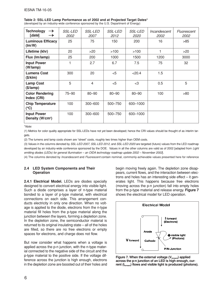| <b>Technology</b><br>$\rightarrow$<br>[date]                     | <b>SSL-LED</b><br><i>2002</i> | <b>SSL-LED</b><br><i>2007</i> | <i>SSL-LED</i><br>2012 | <b>SSL-LED</b><br><i>2020</i> | Incandescent<br>2002 | Fluorescent<br>2002 |
|------------------------------------------------------------------|-------------------------------|-------------------------------|------------------------|-------------------------------|----------------------|---------------------|
| <b>Luminous Efficacy</b><br>$\langle \text{Im}/\text{W} \rangle$ | 25                            | 75                            | 150                    | 200                           | 16                   | >85                 |
| Lifetime (khr)                                                   | 20                            | >20                           | >100                   | >100                          | 1                    | >20                 |
| Flux (Im/lamp)                                                   | 25                            | 200                           | 1000                   | 1500                          | 1200                 | 3000                |
| <b>Input Power</b><br>(W/lamp)                                   | 1                             | 2.7                           | 6.7                    | 7.5                           | 75                   | 32                  |
| <b>Lumens Cost</b><br>(\$/klm)                                   | 300                           | 20                            | < 5                    | < 20.4                        | 1.5                  |                     |
| <b>Lamp Cost</b><br>$(\$/lamp)$                                  | 5                             | $\overline{4}$                | $<$ 5                  | $<$ 3                         | 0.5                  | 5                   |
| <b>Color Rendering</b><br>Index (CRI)                            | $75 - 90$                     | $80 - 90$                     | $80 - 90$              | $80 - 90$                     | 100                  | >80                 |
| <b>Chip Temperature</b><br>$(^{\circ}C)$                         | 100                           | 300-600                       | 500-750                | 600-1000                      |                      |                     |
| <b>Input Power</b><br>Density (W/cm <sup>2</sup> )               | 100                           | $300 - 600$                   | 500-750                | 600-1000                      |                      |                     |

**Table 2: SSL-LED Lamp Performance as of 2002 and at Projected Target Dates\***

(developed by an industry-wide conference sponsored by the U.S. Department of Energy)

\**Note*:

(1) Metrics for color quality appropriate for SSL-LEDs have not yet been developed; hence the CRI values should be thought of as interim targets.

(2) The lumens and lamp costs shown are "street" costs, roughly two times higher than OEM costs.

(3) Values in the columns denoted by *SSL-LED 2007, SSL-LED 2012,* and *SSL-LED 2020* are targeted (future) values from the LED roadmap developed by an industry-wide conference sponsored by the DOE. Values in all the other columns are valid as of 2002 [adapted from *Light emitting diodes (LEDs) for general illumination – an OIDA technology roadmap update 2002 – November 2002*].

(4) The columns denoted by *Incandescent* and *Fluorescent* contain nominal, commonly-achievable values presented here for reference

#### **2.4 LED System Components and Their Operation**

**2.4.1 Electrical Model.** LEDs are diodes specially designed to convert electrical energy into visible light. Such a diode comprises a layer of n-type material bonded to a layer of p-type material, with electrical connections on each side. This arrangement conducts electricity in only one direction. When no voltage is applied to the diode, electrons from the n-type material fill holes from the p-type material along the junction between the layers, forming a depletion zone. In the depletion zone, the semiconductor material is returned to its original insulating state – all of the holes are filled, so there are no free electrons or empty spaces for electrons, and charge does not flow.

But now consider what happens when a voltage is applied across the p-n junction, with the n-type material connected to the negative side of the circuit and the p-type material to the positive side. If the voltage difference across the junction is high enough, electrons in the depletion zone are boosted out of their holes and begin moving freely again. The depletion zone disappears, current flows, and the interaction between electrons and holes has an interesting side effect – it generates light. This happens because free electrons (moving across the p-n junction) fall into empty holes from the p-type material and release energy. **Figure 7** shows the electrical model for LED operation.



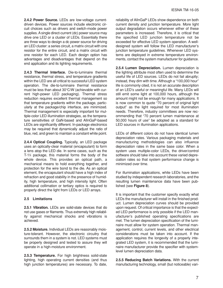**2.4.2 Power Source.** LEDs are low-voltage currentdriven devices. Power sources include electronic circuit choices such as drivers and switch-mode power supplies. A single direct-current (dc) power source may drive one LED or a cluster of LEDs. Essentially there are three ways to design a dc power source for driving an LED cluster: a series circuit, a matrix circuit with one resistor for the entire circuit, and a matrix circuit with one resistor for each LED. Each design option has advantages and disadvantages that depend on the end application and its lighting requirements.

**2.4.3 Thermal Interface.** Die-to-luminaire thermal resistance, thermal stress, and temperature gradients within the LED are all critical to successful LED system operation. The die-to-luminaire thermal resistance must be less than about 30°C/W (achievable with current high-power LED packaging). Thermal stress reduction requires excellent thermal management so that temperature gradients within the package, particularly at the package/chip interface, are minimized. Thermal management is especially important for multiple-color LED illumination strategies, as the temperature sensitivities of GaN-based and AlInGaP-based LEDs are significantly different. In-package electronics may be required that dynamically adjust the ratio of blue, red, and green to maintain a constant white point.

**2.4.4 Optical Coupling.** Typically, an LED package uses an optically-clear material (encapsulant) to form a lens atop the LED die. In some cases, such as the T-1<sup>3</sup> package, this material forms the body of the whole device. This provides an optical path, a mechanical means to hold everything together, and protection for the wire bond to the die. As an optical element, the encapsulant should have a high index of refraction and good stability in the presence of humidity, high temperature, and high intensity light. Often additional collimation or tertiary optics is required to properly direct the light from LEDs or LED arrays.

#### **2.5 Limitations**

**2.5.1 Vibration.** LEDs are solid-state devices that do not use gases or filaments. Thus extremely high reliability against mechanical shocks and vibrations is achieved.

**2.5.2 Moisture.** Individual LEDs are reasonably moisture-tolerant. However, the electronic circuitry that surrounds them in a system is not. LED systems must be properly designed and tested to assure they will operate in a high-moisture environment.

**2.5.3 Temperature.** For high brightness solid-state lighting, high operating current densities (and thus high junction temperatures) are necessary. To date,

reliability of AlInGaP LEDs show dependence on both current density and junction temperature. More light output degradation occurs whenever either of these parameters is increased. Therefore, it is critical that the specified LED junction temperature not be exceeded for effective LED system operation. A welldesigned system will follow the LED manufacturer's junction temperature guidelines. Whenever LED systems are deployed in extreme temperature environments, contact the system manufacturer for guidance.

**2.5.4 Lumen Depreciation.** Lumen depreciation is the lighting attribute most often used to determine the useful life of LED sources. LEDs do not fail abruptly; instead, they dim with time. Although a "100,000 hour" life is commonly cited, it is not an accurate description of an LED's useful or meaningful life. Many LEDs will still emit some light at 100,000 hours, although the amount might not be enough for many applications. It is now common to quote "70 percent of original light output" as the light required for most illumination needs. Therefore, industry committees are now recommending that "70 percent lumen maintenance at 50,000 hours of use" be adopted as a standard for LED sources in illumination applications.

LEDs of different colors do not have identical lumen depreciation rates. Various packaging materials and manufacturing methodologies can also influence depreciation rates in the same base color. When a system uses multiple-color LEDs, the driver/control software should take into account these varied depreciation rates so that system performance change is minimized over time.

For illumination applications, white LEDs have been studied by independent research laboratories, and the resulting lumen maintenance data have been published (see **Figure 8**).

It is important that the customer specify exactly what LEDs the manufacturer will install in the finished product. Lumen depreciation curves should be provided upon request. Of critical importance is that the expected LED performance is only possible if the LED manufacturer's published operating specifications are met. The lumen depreciation specification of the luminaire must allow for system operation. Thermal management, control, current levels, and other electrical considerations must be taken into account. If the application requires the longevity of a properly integrated LED system, it is recommended that the luminaire manufacturer provide the specifier with systemlevel lumen depreciation data.

**2.5.5 Reducing Batch Variations.** With the current manufacturing technology, small (but noticeable) vari-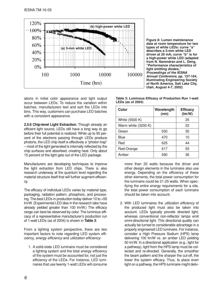

**Figure 8: Lumen maintenance data at room temperature for two types of white LEDs: curve "a" describes a 5-mm white LED driven at 20 mA; curve "b" is for a high-power white LED (adapted from N. Narendran and L. Deng, "Performance characteristics of light emitting diodes,** *Proceedings of the IESNA Annual Conference***, pp. 157-164, Illuminating Engineering Society of North America, Salt Lake City, Utah, August 4-7, 2002)**

ations in initial color appearance and light output occur between LEDs. To reduce the variation within batches, manufacturers test and sort the LEDs into bins. This way, customers can purchase LED batches with a consistent appearance.

**2.5.6 Chip-level Light Extraction.** Though already an efficient light source, LEDs still have a long way to go before their full potential is realized. While up to 95 percent of the electrons passing through LEDs produce photons, the LED chip itself is effectively a "photon trap" – most of the light generated is internally reflected by the chip surfaces and absorbed, creating heat. Only about 15 percent of the light gets out of the LED package.

Manufacturers are developing techniques to improve the light extraction from LED chips. There is also research underway at the quantum level regarding the material structure itself that will further augment efficiency.

The efficacy of individual LEDs varies by material type, packaging, radiation pattern, phosphors, and processing. The best LEDs in production today deliver 10 to >55 lm/W. (Experimental LED dies in the research labs have already yielded greater than 100 lm/W.) The efficacy range can best be observed by color. The luminous efficacy of a representative manufacturer's production run of 1-watt LEDs (as of 2004) is shown in **Table 3**:

From a lighting system perspective, there are two important factors to note regarding LED system efficiency, *energy efficiency* and *utilization efficiency*:

1. A solid-state LED luminaire must be considered a lighting system and the total *energy efficiency* of the system must be accounted for, not just the efficiency of the LEDs. For instance, LED luminaires that use twenty 1-watt LEDs will consume

| Table 3: Luminous Efficacy of Production Run 1-watt |  |  |
|-----------------------------------------------------|--|--|
| LEDs (as of 2004)                                   |  |  |

| Color               | Wavelength<br>(nm) | <b>Efficacy</b><br>(lm/W) |
|---------------------|--------------------|---------------------------|
| White (5500 K)      |                    | 25                        |
| Warm white (3200 K) |                    | 22                        |
| Green               | 530                | 30                        |
| Blue                | 470                | 10                        |
| Red                 | 625                | 44                        |
| Red-Orange          | 617                | 55                        |
| Amber               | 590                | 36                        |

more than 20 watts because the driver and other design elements in the luminaire also use energy. Depending on the efficiency of these other elements, the total power consumption for the luminaire could be 21-25 watts. When specifying the entire energy requirements for a site, the total power consumption of each luminaire should be taken into account.

2. With LED luminaires the *utilization efficiency* of the produced light must also be taken into account. LEDs typically provide directed light, whereas conventional non-reflector lamps emit omni-directional light. This directional quality can actually be turned to considerable advantage in a properly engineered LED luminaire. For instance, consider a High Pressure Sodium (HPS) lamp delivering 100 lm/W vs. an amber LED yeilding 50 lm/W. In a directional application (e.g., light for a pathway), light from the HPS lamp must be collected and re-directed. Generally, the smoother the beam pattern and the sharper the cut-off, the lower the system efficacy. Thus, to place even light on a pathway, the HPS luminaire might deliv-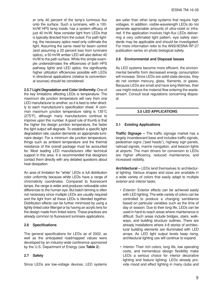er only 40 percent of the lamp's luminous flux onto the surface. Such a luminaire, with a 100 lm/W HPS lamp inside, has a system efficacy of just 40 lm/W. Now consider light from LEDs that is typically directed from the outset. For path lighting, the necessary optics need only collimate the light. Assuming the same need for beam control (and assuming a 20 percent loss from luminaire optics), a 50 lm/W amber LED will also deliver 40 lm/W to the path surface. While this simple example underestimates the efficiencies of both HPS pathway lights and LED optics, the significantly higher utilization efficiencies possible with LEDs in directional applications (relative to conventional sources) should be considered.

**2.5.7 Light Degradation and Color Uniformity.**One of the key limitations affecting LEDs is temperature. The maximum die junction temperature will vary from one LED manufacturer to another, so it is best to refer directly to each manufacturer's specification sheet. A common maximum junction temperature rating is 135°C (275°F), although many manufacturers continue to improve upon this number. A good rule of thumb is that the higher the design junction temperature, the faster the light output will degrade. To establish a specific light degradation rate, caution demands an appropriate luminaire design. For a minimum die junction temperature, things such as ambient temperature and the thermal resistance of the overall package must be accounted for. Most leading LED manufacturers offer technical support in this area. It is recommended that designers contact them directly with any detailed questions about heat dissipation.

An area of limitation for "white" LEDs is full distribution color uniformity because white LEDs have a range of chromaticity coordinates. Compared to fluorescent lamps, the range is wider and produces noticeable color differences to the human eye. But batch binning is often not necessary since multiple LEDs are usually required and the light from all these LEDs is blended together. Distribution effects can be further minimized by using a lightly tinted color filter/gel or by having an acrylic lens for the design made from tinted resins. These practices are already common to fluorescent luminaire applications.

#### **2.6 Specifications**

The general specifications for LEDs as of 2002, as well as the anticipated roadmapped values were developed by an industry-wide conference sponsored by the U.S. Department of Energy (see **Table 2**).

#### **2.7 Safety**

Since LEDs are low-voltage devices, LED systems

are safer than other lamp systems that require high voltages. In addition, visible-wavelength LEDs do not generate appreciable amounts of ultra-violet or infrared. If the application involves high-flux LEDs deliverring a very collimated light pattern, eye safety standards may be applicable and should be investigated. For more information refer to the ANSI/IESNA RP-27 publication series on photo biological safety.

#### **2.8 Environmental and Disposal Issues**

As LED systems become more efficient, the environmental benefits from decreased energy consumption will increase. Since LEDs are solid-state devices, they do not contain mercury, glass, filaments, or gases. Because LEDs are small and have long lifetimes, their use might reduce the material flow entering the wastestream. Consult local regulations concerning disposal.

#### **3.0 LED APPLICATIONS**

#### **3.1 Existing Applications**

**Traffic Signage –** The traffic signage market has a largely incandescent base and includes traffic signals, pedestrian signs ("ped heads"), highway sign panels, railroad signals, marine navigation, and beacon lights at airports. The main drivers for conversion to LEDs are higher efficiency, reduced maintenance, and increased visibility.

**Architectural –** LEDs lend themselves to architectural lighting. Various shapes and sizes are available in a wide variety of colors that easily adapt to multiple *exterior* and *interior* tasks.

- *Exterior:* Exterior effects can be achieved easily with LED lighting. The wide variety of colors can be controlled to produce a changing semblance based on particular variables such as the time of day or season. Due to their long life, LEDs can be used in hard-to-reach areas where maintenance is difficult. Such areas include bridges, stairs, walkways, and building structure outlines. There are already installations where 4-8 stories of architectural building elements are illuminated with LED arrays. As LED light output levels keep rising, architectural lighting use will continue to expand.
- *Interior:* Their rich colors, long life, low operating costs, and tremendous design flexibility make LEDs a serious choice for interior decorative lighting and feature lighting. LEDs already provide mood and effect lighting in many clubs and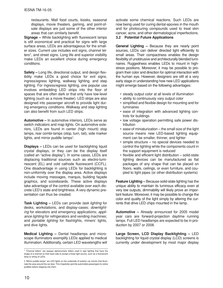restaurants. Mall food courts, kiosks, seasonal displays, movie theaters, gaming, and point-ofsale displays are just some of the other interior areas that can similarly benefit.

**Signage –** While backlighting with fluorescent lamps is still economical and practical for signs with large surface areas, LEDs are advantageous for the smaller sizes. Current use includes exit signs, channel letters\*, and street signs. Long life and superior visibility make LEDs an excellent choice during emergency conditions.

**Safety –** Long life, directional output, and design flexibility make LEDs a good choice for exit signs, ingress/egress lighting, walkway lighting, and step lighting. For ingress/egress lighting, one popular use involves embedding LED strips into the floor of spaces that are often dark or that only have low-level lighting (such as a movie theater). LED strips are also designed into passenger aircraft to provide light during emergency conditions. Walkway and step lighting can also benefit from such LED strips.

**Automotive –** In automotive interiors, LEDs serve as switch indicators and map lights. On automotive exteriors, LEDs are found in center (high mount) stop lamps, rear combi-lamps (stop, turn, tail), side marker lights, and mirror puddle lamps† .

**Displays –** LEDs can be used for backlighting liquid crystal displays, or they can be the display itself (called an "active display"). In some cases, LEDs are displacing traditional sources such as electro-luminescent (EL) and cold cathode fluorescent (CCFL). One disadvantage in using LEDs for backlighting is non-uniformity over the display area. Active displays include moving messages, marquis, building façade graphics, and scoreboards. These active displays take advantage of the control available over each discrete LED's state and brightness. A very dynamic presentation can thus be created.

**Task Lighting –** LEDs can provide *task lighting* for desks, workstations, and display-cases; *downlighting* for elevators and emergency applications; *appliance lighting* for refrigerators and vending machines; and *portable lighting* for flashlights, miners' lights, and dive lights.

**Medical Lighting –** Dental headlamps and microscope illuminators exemplify LEDs applied to medical illumination. Additionally, certain LED wavelengths will activate some chemical reactions. Such LEDs are now being used for curing dental epoxies in the mouth and for photocuring compounds used to treat skin cancer, acne, and other dermatological imperfections.

#### **3.2 Potential Future Applications**

**General Lighting –** Because they are nearly point sources, LEDs can deliver directed light efficiently to small areas. Their compactness enables the design flexibility of unobtrusive and architecturally blended luminaires. Ruggedness enables LEDs to mount in highstress positions. Moreover, it may be possible to program their color and direction for optimal interaction with the human eye. However, designers are still at a very early stage in understanding how new LED applications might emerge based on the following advantages:

- steady output color at all levels of illumination
- ability to continuously vary output color
- simplified and flexible design for mounting and for luminaires
- ease of integration with advanced lighting controls for buildings
- low voltage operation permitting safe power distribution
- ease of miniaturization the small size of the light source means new LED-based lighting equipment can be smaller, thinner, and lighter
- simple structure no special devices needed to control the lighting while the components count in the support equipment is reduced
- flexible and efficient light distribution solid-state lighting devices can be manufactured as flat packages of any shape that can be placed on floors, walls, ceilings, or even furniture, and coupled to light pipes (or other distribution systems)

**Feature Lighting –** Because solid-state lighting has the unique ability to maintain its luminous efficacy even at very low outputs, dimmability will likely prove an important feature. Moreover, it may be possible to change the color and quality of the light simply by altering the currents that drive LED chips mounted in the lamp.

**Automotive –** Already announced for 2005 model year cars are forward-projection daytime running lamps. Full LED headlamps are expected to be in production by 2007 or 2008.

**Large Screen, LCD Display Backlighting –** LED backlighting for liquid crystal display (LCD) screens is currently under development by most major display

<sup>\* &</sup>quot;Channel letters" are opaque alphanumeric letters used in sign lighting that have the shape of a channel on their back side to accept a linear light source, such as a fluorescent lamp or string of LEDs.

<sup>† &</sup>quot;Mirror puddle lamps" are LED lights on the underside of exterior car mirrors that illuminate the area around the car door. This (hopefully) permits automobile passengers to notice puddles before stepping into them.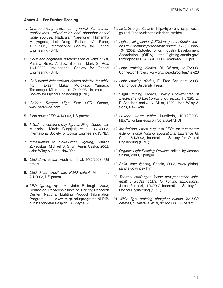#### **Annex A – For Further Reading**

- 1. *Characterizing LEDs for general illumination applications: mixed-color and phosphor-based white sources*, Nadarajah Narendran, Nishantha Maliyagoda, Lei Deng, Richard M. Pysar, 12/1/2001, International Society for Optical Engineering (SPIE).
- 2. *Color and brightness discrimination of white LEDs*, Patricia Rizzo, Andrew Bierman, Mark S. Rea, 11/1/2002, International Society for Optical Engineering (SPIE).
- 3. *GaN-based light-emitting diodes suitable for white light*, Takashi Mukai, Motokazu Yamada, Tomotsugu Mitani, et al, 7/1/2003, International Society for Optical Engineering (SPIE).
- 4. *Golden Dragon High Flux LED*, Osram, www.osram-os.com
- 5. *High power LED*, 4/1/2003, US patent.
- 6. *InGaAs resonant-cavity light-emitting diodes*, Jan Muszalski, Maciej Bugajski, et al, 10/1/2003, International Society for Optical Engineering (SPIE).
- 7. *Introduction to Solid-State Lighting*, Arturas Zukauskas, Michael S. Shur, Remis Caska, 2002, John Wiley & Sons, New York.
- 8. *LED drive circuit*, Hoshino, et al, 9/30/2003, US patent.
- 9. *LED driver circuit with PWM output*, Min et al, 7/1/2003, US patent.
- 10. *LED lighting systems*, John Bullough, 2003, Rennselaer Polytechnic Institute, Lighting Research Center, National Lighting Product Information Program, www.lrc.rpi.edu/programs/NLPIP/ publicationdetails.asp?id=885&type=2
- 11. *LED*, Georgia St. Univ., http://hyperphysics.phyastr. gsu.edu/hbase/electronic/ledcon.html#c1
- 12. *Light emitting diodes (LEDs) for general illumination– an OIDA technology roadmap update 2002*, J. Tsao, 10/1/2002, Optoelectronics Industry Development Association (OIDA), http://lighting.sandia.gov/ lightingdocs/OIDA\_SSL\_LED\_Roadmap\_Full.pdf
- 13. *Light emitting diodes*, Bill Wilson, 6/17/2003, Connection Project, www.cnx.rice.edu/content/new26
- 14. *Light emitting diodes*, E. Fred Schubert, 2003, Cambridge University Press.
- 15. "Light-Emitting Diodes," *Wiley Encyclopedia of Electrical and Electronics Engineering*, 11, 326, E. F. Schubert and J. N. Miller, 1999, John Wiley & Sons, New York.
- 16. *Luxeon warm white*, Lumileds, 10/17/2003, http://www.lumileds.com/pdfs/DS47.PDF
- 17. *Maximizing lumen output of LEDs for automotive exterior signal lighting applications*, Lawrence G. Conn, 7/1/2003, International Society for Optical Engineering (SPIE).
- 18.O*rganic Light-Emitting Devices*, edited by Joseph Shinar, 2003, Springer.
- 19.*Solid state lighting*, Sandia, 2003, www.lighting. sandia.gov/index.htm
- 20.*Thermal challenges facing new-generation lightemitting diodes (LEDs) for lighting applications*, James Petroski, 11/1/2002, International Society for Optical Engineering (SPIE).
- 21.*White light emitting phosphor blends for LED devices*, Srivastava, et al, 9/16/2003, US patent.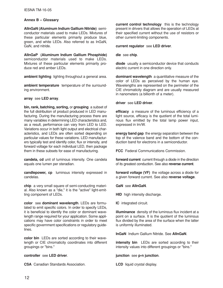#### **Annex B – Glossary**

**AlInGaN (Aluminum Indium Gallium Nitride)** semiconductor materials used to make LEDs. Mixtures of these particular elements primarily produce blue, green, and white LEDs. Also referred to as InGaN, GaN, and nitride.

**AlInGaP (Aluminum Indium Gallium Phosphide)** semiconductor materials used to make LEDs. Mixtures of these particular elements primarily produce red and amber LEDs.

**ambient lighting** lighting throughout a general area.

**ambient temperature** temperature of the surrounding environment.

**array** see **LED array**.

**bin, rank, batching, sorting,** or **grouping** a subset of the full distribution of product produced in LED manufacturing. During the manufacturing process there are many variables in determining LED characteristics and, as a result, performance can vary from LED to LED. Variations occur in both light output and electrical characteristics, and LEDs are often sorted depending on particular values for these variations. LED manufacturers typically test and identify color, flux or intensity, and forward voltage for each individual LED, then package them in these subsets for ease of manufacturing.

**candela, cd** unit of luminous intensity. One candela equals one lumen per steradian.

**candlepower, cp** luminous intensity expressed in candelas.

**chip** a very small square of semi-conducting material. Also known as a "die," it is the "active" light-emitting component of LEDs.

**color** see **dominant wavelength**. LEDs are formulated to emit specific colors. In order to specify LEDs, it is beneficial to identify the color or dominant wavelength range required for your application. Some applications may have color constraints in order to meet specific government specifications or regulatory guidelines.

**color bin** LEDs are sorted according to their wavelength or CIE chromaticity coordinates into different groupings or "bins."

**controller** see **LED driver**.

**CSA** Canadian Standards Association.

**current control technology** this is the technology present in drivers that allows the operation of LEDs at their specified current without the use of resistors or other current-limiting components.

**current regulator** see **LED driver**.

**die** see **chip**.

**diode** usually a semiconductor device that conducts electric current in one direction only.

**dominant wavelength** a quantitative measure of the color of LEDs as perceived by the human eye. Wavelengths are represented on the perimeter of the CIE chromaticity diagram and are usually measured in nanometers (a billionth of a meter).

**driver** see **LED driver**.

**efficacy** a measure of the luminous efficiency of a light source, efficacy is the quotient of the total luminous flux emitted by the total lamp power input, expressed in lm/W.

**energy band gap** the energy separation between the top of the valence band and the bottom of the conduction band for electrons in a semiconductor.

**FCC** Federal Communications Commission.

**forward current** current through a diode in the direction of its greatest conduction. See also **reverse current**.

**forward voltage (VF)** the voltage across a diode for a given forward current. See also **reverse voltage**.

**GaN** see **AlInGaN**.

**HID** high intensity discharge.

**IC** integrated circuit.

**illuminance** density of the luminous flux incident at a point on a surface. It is the quotient of the luminous flux divided by the area of the surface when the latter is uniformly illuminated.

**InGaN** Indium Gallium Nitride. See **AlInGaN**.

**intensity bin** LEDs are sorted according to their intensity values into different groupings or "bins."

**junction** see **p-n junction**.

**LCD** liquid crystal display.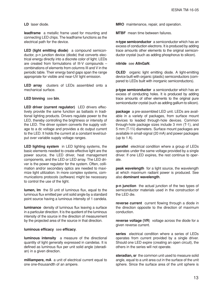**LD** laser diode.

**leadframe** a metallic frame used for mounting and connecting LED chips. The leadframe functions as the electrical path for the device.

**LED (light emitting diode)** a compound semiconductor, p-n junction device (diode) that converts electrical energy directly into a discrete color of light. LEDs are created from formulations of III-V compounds – combinations of elements from columns III and V in the periodic table. Their energy band gaps span the range appropriate for visible and near-UV light emission.

**LED array** clusters of LEDs assembled onto a mechanical surface.

**LED binning** see **bin**.

**LED driver (current regulator)** LED drivers effectively provide the same function as ballasts in traditional lighting products. Drivers regulate power to the LED, thereby controlling the brightness or intensity of the LED. The driver system converts the supply voltage to a dc voltage and provides a dc output current to the LED. It holds the current at a constant level/output over variable supply voltage ranges.

**LED lighting system** in LED lighting systems, the basic elements needed to create effective light are the power source, the LED driver, heat management components, and the LED or LED array. The LED driver is the power regulator for the system. Often, collimation and/or secondary optics are needed to maximize light utilization. In more complex systems, communications protocols (software) might be necessary to control the use of the light.

**lumen, lm** the SI unit of luminous flux, equal to the luminous flux emitted per unit solid angle by a standard point source having a luminous intensity of 1 candela.

**luminance** density of luminous flux leaving a surface in a particular direction. It is the quotient of the luminous intensity of the source in the direction of measurement by the projected area of the source in that direction.

#### **luminous efficacy** see **efficacy**.

**luminous intensity** a measure of the directional quantity of light generally expressed in candelas. It is defined as luminous flux per unit solid angle (steradian) in a given direction.

**milliampere, mA** a unit of electrical current equal to one one-thousandth of an ampere.

**MRO** maintenance, repair, and operation.

**MTBF** mean time between failures.

**n-type semiconductor** a semiconductor which has an excess of conduction electrons. It is produced by adding trace amounts other elements to the original semiconductor crystal (such as adding phosphorus to silicon).

#### **nitride** see **AlInGaN**.

**OLED** organic light emitting diode. A light-emitting device built with organic (plastic) semiconductors (compared to LEDs built with inorganic semiconductors).

**p-type semiconductor** a semiconductor which has an excess of conducting holes. It is produced by adding trace amounts of other elements to the original pure semiconductor crystal (such as adding gallium to silicon).

**package** a pre-assembled LED unit. LEDs are available in a variety of packages, from surface mount devices to leaded through-hole devices. Common through-hole package sizes include 3 mm (T-1), and 5 mm (T-13 ⁄4) diameters. Surface mount packages are available in small-signal (20 mA) and power packages (up to 1 A).

**parallel** electrical condition where a group of LEDs operates under the same voltage provided by a single driver. If one LED expires, the rest continue to operate.

**peak wavelength** for a light source, the wavelength at which maximum radiant power is produced. See also **dominant wavelength**.

**p-n junction** the actual junction of the two types of semiconductor materials used in the construction of the LED die.

**reverse current** current flowing through a diode in the direction opposite to the direction of maximum conduction.

**reverse voltage (VR**) voltage across the diode for a given reverse current.

**series** electrical condition where a series of LEDs operates from current provided by a single driver. Should one LED expire (creating an open circuit), the others in the series will not operate.

**steradian, sr** the common unit used to measure solid angle, equal to a unit area cut in the surface of the unit sphere. Since the surface area of the unit sphere is